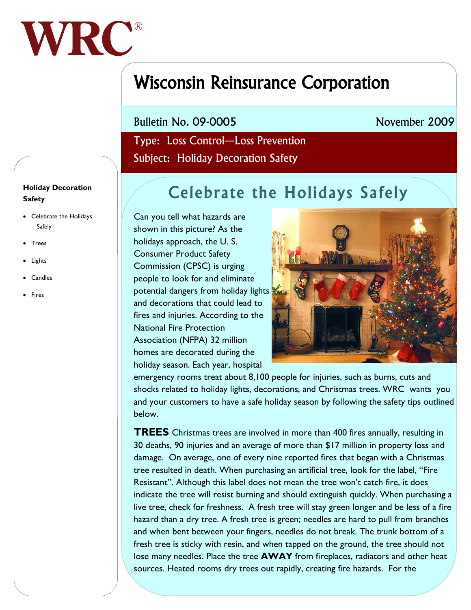

## Wisconsin Reinsurance Corporation

Bulletin No. 09-0005

## November 2009

 Type: Loss Control—Loss Prevention Subject: Holiday Decoration Safety

## Celebrate the Holidays Safely

Can you tell what hazards are shown in this picture? As the holidays approach, the U. S. Consumer Product Safety Commission (CPSC) is urging people to look for and eliminate potential dangers from holiday lights and decorations that could lead to fires and injuries. According to the National Fire Protection Association (NFPA) 32 million homes are decorated during the holiday season. Each year, hospital



emergency rooms treat about 8,100 people for injuries, such as burns, cuts and shocks related to holiday lights, decorations, and Christmas trees. WRC wants you and your customers to have a safe holiday season by following the safety tips outlined below.

**TREES** Christmas trees are involved in more than 400 fires annually, resulting in 30 deaths, 90 injuries and an average of more than \$17 million in property loss and damage. On average, one of every nine reported fires that began with a Christmas tree resulted in death. When purchasing an artificial tree, look for the label, "Fire Resistant". Although this label does not mean the tree won't catch fire, it does indicate the tree will resist burning and should extinguish quickly. When purchasing a live tree, check for freshness. A fresh tree will stay green longer and be less of a fire hazard than a dry tree. A fresh tree is green; needles are hard to pull from branches and when bent between your fingers, needles do not break. The trunk bottom of a fresh tree is sticky with resin, and when tapped on the ground, the tree should not lose many needles. Place the tree **AWAY** from fireplaces, radiators and other heat sources. Heated rooms dry trees out rapidly, creating fire hazards. For the

## **Holiday Decoration Safety**

- Celebrate the Holidays Safely
- Trees
- Lights
- Candles
- Fires